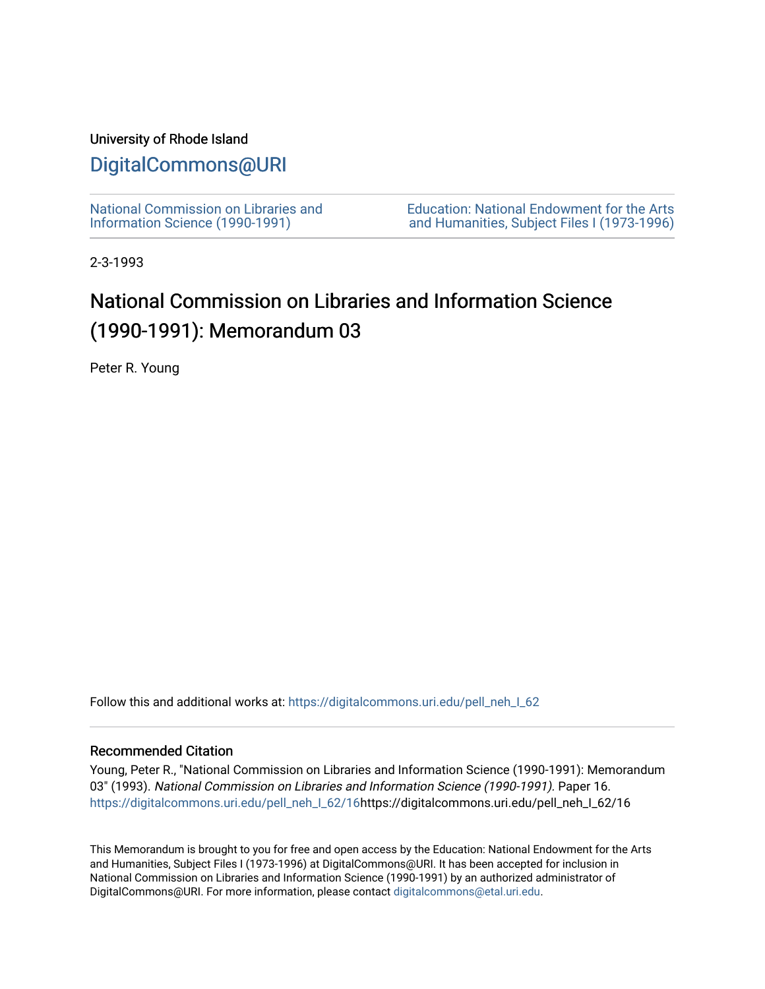### University of Rhode Island

## [DigitalCommons@URI](https://digitalcommons.uri.edu/)

[National Commission on Libraries and](https://digitalcommons.uri.edu/pell_neh_I_62) [Information Science \(1990-1991\)](https://digitalcommons.uri.edu/pell_neh_I_62) 

[Education: National Endowment for the Arts](https://digitalcommons.uri.edu/pell_neh_I)  [and Humanities, Subject Files I \(1973-1996\)](https://digitalcommons.uri.edu/pell_neh_I) 

2-3-1993

# National Commission on Libraries and Information Science (1990-1991): Memorandum 03

Peter R. Young

Follow this and additional works at: https://digitalcommons.uri.edu/pell\_neh\_I\_62

#### Recommended Citation

Young, Peter R., "National Commission on Libraries and Information Science (1990-1991): Memorandum 03" (1993). National Commission on Libraries and Information Science (1990-1991). Paper 16. [https://digitalcommons.uri.edu/pell\\_neh\\_I\\_62/16h](https://digitalcommons.uri.edu/pell_neh_I_62/16?utm_source=digitalcommons.uri.edu%2Fpell_neh_I_62%2F16&utm_medium=PDF&utm_campaign=PDFCoverPages)ttps://digitalcommons.uri.edu/pell\_neh\_I\_62/16

This Memorandum is brought to you for free and open access by the Education: National Endowment for the Arts and Humanities, Subject Files I (1973-1996) at DigitalCommons@URI. It has been accepted for inclusion in National Commission on Libraries and Information Science (1990-1991) by an authorized administrator of DigitalCommons@URI. For more information, please contact [digitalcommons@etal.uri.edu.](mailto:digitalcommons@etal.uri.edu)